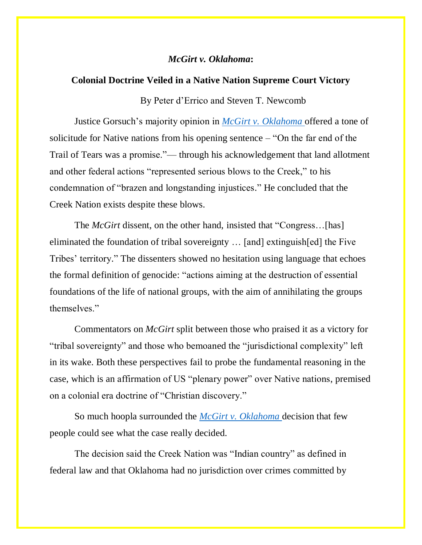## *McGirt v. Oklahoma***:**

## **Colonial Doctrine Veiled in a Native Nation Supreme Court Victory**

By Peter d'Errico and Steven T. Newcomb

Justice Gorsuch's majority opinion in *[McGirt v. Oklahoma](https://www.supremecourt.gov/opinions/19pdf/18-9526_9okb.pdf)* offered a tone of solicitude for Native nations from his opening sentence – "On the far end of the Trail of Tears was a promise."— through his acknowledgement that land allotment and other federal actions "represented serious blows to the Creek," to his condemnation of "brazen and longstanding injustices." He concluded that the Creek Nation exists despite these blows.

The *McGirt* dissent, on the other hand, insisted that "Congress…[has] eliminated the foundation of tribal sovereignty … [and] extinguish[ed] the Five Tribes' territory." The dissenters showed no hesitation using language that echoes the formal definition of genocide: "actions aiming at the destruction of essential foundations of the life of national groups, with the aim of annihilating the groups themselves."

Commentators on *McGirt* split between those who praised it as a victory for "tribal sovereignty" and those who bemoaned the "jurisdictional complexity" left in its wake. Both these perspectives fail to probe the fundamental reasoning in the case, which is an affirmation of US "plenary power" over Native nations, premised on a colonial era doctrine of "Christian discovery."

So much hoopla surrounded the *[McGirt v. Oklahoma](https://supreme.justia.com/cases/federal/us/591/18-9526/)* decision that few people could see what the case really decided.

The decision said the Creek Nation was "Indian country" as defined in federal law and that Oklahoma had no jurisdiction over crimes committed by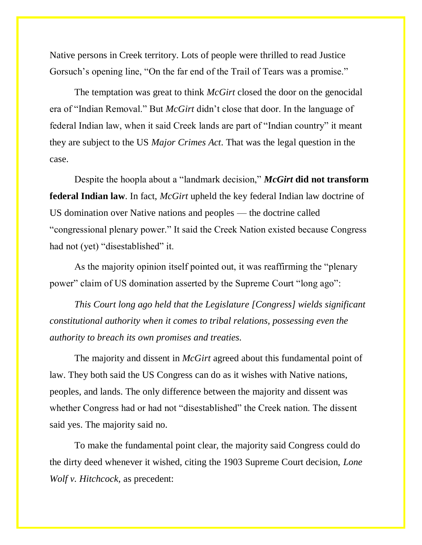Native persons in Creek territory. Lots of people were thrilled to read Justice Gorsuch's opening line, "On the far end of the Trail of Tears was a promise."

The temptation was great to think *McGirt* closed the door on the genocidal era of "Indian Removal." But *McGirt* didn't close that door. In the language of federal Indian law, when it said Creek lands are part of "Indian country" it meant they are subject to the US *Major Crimes Act*. That was the legal question in the case.

Despite the hoopla about a "landmark decision," *McGirt* **did not transform federal Indian law**. In fact, *McGirt* upheld the key federal Indian law doctrine of US domination over Native nations and peoples — the doctrine called "congressional plenary power." It said the Creek Nation existed because Congress had not (yet) "disestablished" it.

As the majority opinion itself pointed out, it was reaffirming the "plenary power" claim of US domination asserted by the Supreme Court "long ago":

*This Court long ago held that the Legislature [Congress] wields significant constitutional authority when it comes to tribal relations, possessing even the authority to breach its own promises and treaties.*

The majority and dissent in *McGirt* agreed about this fundamental point of law. They both said the US Congress can do as it wishes with Native nations, peoples, and lands. The only difference between the majority and dissent was whether Congress had or had not "disestablished" the Creek nation. The dissent said yes. The majority said no.

To make the fundamental point clear, the majority said Congress could do the dirty deed whenever it wished, citing the 1903 Supreme Court decision, *Lone Wolf v. Hitchcock,* as precedent: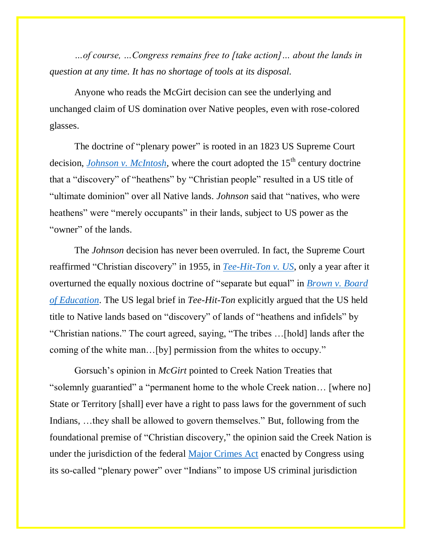*…of course, …Congress remains free to [take action]… about the lands in question at any time. It has no shortage of tools at its disposal.*

Anyone who reads the McGirt decision can see the underlying and unchanged claim of US domination over Native peoples, even with rose-colored glasses.

The doctrine of "plenary power" is rooted in an 1823 US Supreme Court decision, *[Johnson v. McIntosh](https://supreme.justia.com/cases/federal/us/21/543/)*, where the court adopted the  $15<sup>th</sup>$  century doctrine that a "discovery" of "heathens" by "Christian people" resulted in a US title of "ultimate dominion" over all Native lands. *Johnson* said that "natives, who were heathens" were "merely occupants" in their lands, subject to US power as the "owner" of the lands.

The *Johnson* decision has never been overruled. In fact, the Supreme Court reaffirmed "Christian discovery" in 1955, in *[Tee-Hit-Ton v. US](https://supreme.justia.com/cases/federal/us/348/272/)*, only a year after it overturned the equally noxious doctrine of "separate but equal" in *[Brown v. Board](https://supreme.justia.com/cases/federal/us/347/483/)  [of Education](https://supreme.justia.com/cases/federal/us/347/483/)*. The US legal brief in *Tee-Hit-Ton* explicitly argued that the US held title to Native lands based on "discovery" of lands of "heathens and infidels" by "Christian nations." The court agreed, saying, "The tribes …[hold] lands after the coming of the white man…[by] permission from the whites to occupy."

Gorsuch's opinion in *McGirt* pointed to Creek Nation Treaties that "solemnly guarantied" a "permanent home to the whole Creek nation… [where no] State or Territory [shall] ever have a right to pass laws for the government of such Indians, …they shall be allowed to govern themselves." But, following from the foundational premise of "Christian discovery," the opinion said the Creek Nation is under the jurisdiction of the federal [Major Crimes Act](https://www.law.cornell.edu/uscode/text/18/1153) enacted by Congress using its so-called "plenary power" over "Indians" to impose US criminal jurisdiction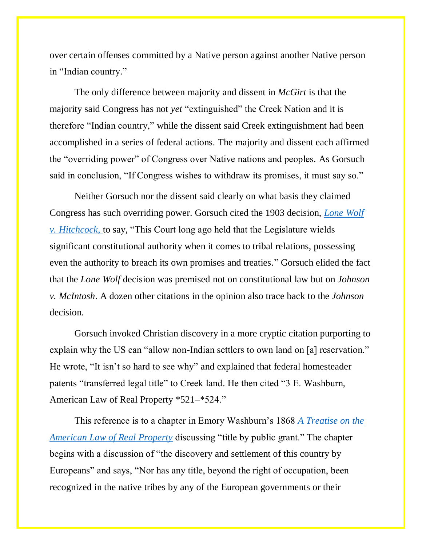over certain offenses committed by a Native person against another Native person in "Indian country."

The only difference between majority and dissent in *McGirt* is that the majority said Congress has not *yet* "extinguished" the Creek Nation and it is therefore "Indian country," while the dissent said Creek extinguishment had been accomplished in a series of federal actions. The majority and dissent each affirmed the "overriding power" of Congress over Native nations and peoples. As Gorsuch said in conclusion, "If Congress wishes to withdraw its promises, it must say so."

Neither Gorsuch nor the dissent said clearly on what basis they claimed Congress has such overriding power. Gorsuch cited the 1903 decision, *[Lone Wolf](https://supreme.justia.com/cases/federal/us/187/553/)  [v. Hitchcock](https://supreme.justia.com/cases/federal/us/187/553/)*, to say, "This Court long ago held that the Legislature wields significant constitutional authority when it comes to tribal relations, possessing even the authority to breach its own promises and treaties." Gorsuch elided the fact that the *Lone Wolf* decision was premised not on constitutional law but on *Johnson v. McIntosh*. A dozen other citations in the opinion also trace back to the *Johnson* decision.

Gorsuch invoked Christian discovery in a more cryptic citation purporting to explain why the US can "allow non-Indian settlers to own land on [a] reservation." He wrote, "It isn't so hard to see why" and explained that federal homesteader patents "transferred legal title" to Creek land. He then cited "3 E. Washburn, American Law of Real Property \*521–\*524."

This reference is to a chapter in Emory Washburn's 1868 *[A Treatise on the](https://www.google.com/books/edition/A_Treatise_on_the_American_Law_of_Real_P/3c8DAAAAQAAJ?sa=X&ved=2ahUKEwjrpb-E3cPqAhUxxoUKHSCqDiQQiqUDMBV6BAgHEBY)  [American Law of Real Property](https://www.google.com/books/edition/A_Treatise_on_the_American_Law_of_Real_P/3c8DAAAAQAAJ?sa=X&ved=2ahUKEwjrpb-E3cPqAhUxxoUKHSCqDiQQiqUDMBV6BAgHEBY)* discussing "title by public grant." The chapter begins with a discussion of "the discovery and settlement of this country by Europeans" and says, "Nor has any title, beyond the right of occupation, been recognized in the native tribes by any of the European governments or their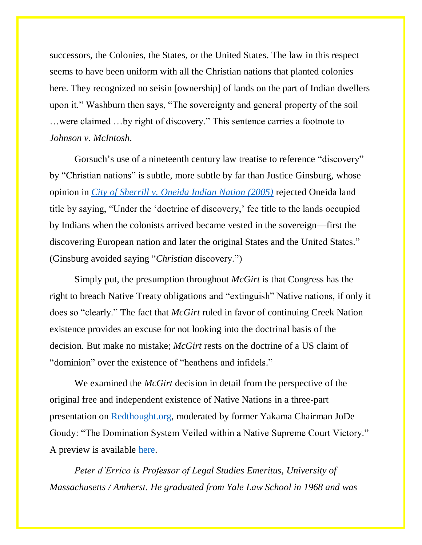successors, the Colonies, the States, or the United States. The law in this respect seems to have been uniform with all the Christian nations that planted colonies here. They recognized no seisin [ownership] of lands on the part of Indian dwellers upon it." Washburn then says, "The sovereignty and general property of the soil …were claimed …by right of discovery." This sentence carries a footnote to *Johnson v. McIntosh*.

Gorsuch's use of a nineteenth century law treatise to reference "discovery" by "Christian nations" is subtle, more subtle by far than Justice Ginsburg, whose opinion in *[City of Sherrill v. Oneida Indian Nation \(2005\)](https://supreme.justia.com/cases/federal/us/544/197/#F1)* rejected Oneida land title by saying, "Under the 'doctrine of discovery,' fee title to the lands occupied by Indians when the colonists arrived became vested in the sovereign—first the discovering European nation and later the original States and the United States." (Ginsburg avoided saying "*Christian* discovery.")

Simply put, the presumption throughout *McGirt* is that Congress has the right to breach Native Treaty obligations and "extinguish" Native nations, if only it does so "clearly." The fact that *McGirt* ruled in favor of continuing Creek Nation existence provides an excuse for not looking into the doctrinal basis of the decision. But make no mistake; *McGirt* rests on the doctrine of a US claim of "dominion" over the existence of "heathens and infidels."

We examined the *McGirt* decision in detail from the perspective of the original free and independent existence of Native Nations in a three-part presentation on [Redthought.org,](https://redthought.org/) moderated by former Yakama Chairman JoDe Goudy: "The Domination System Veiled within a Native Supreme Court Victory." A preview is available [here.](https://www.youtube.com/watch?v=3JtWucnwpKg&feature=emb_logo)

*Peter d'Errico is Professor of Legal Studies Emeritus, University of Massachusetts / Amherst. He graduated from Yale Law School in 1968 and was*